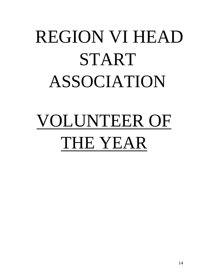# REGION VI HEAD START ASSOCIATION

# VOLUNTEER OF THE YEAR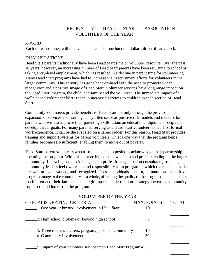## REGION VI HEAD START ASSOCIATION VOLUNTEER OF THE YEAR

#### AWARD

Each state's nominee will receive a plaque and a one hundred dollar gift certificate/check.

#### OUALIFICATIONS

Head Start parents traditionally have been Head Start's major volunteer resource. Over the past 10 years, however, an increasing number of Head Start parents have been returning to school or taking entry-level employment, which has resulted in a decline in parent time for volunteering. Many Head Start programs have had to increase their recruitment efforts for volunteers in the larger community. This activity has gone hand-in-hand with the need to promote wider recognition and a positive image of Head Start. Volunteer services have long range impact on the Head Start Program, the child, and family and the volunteer. The immediate impact of a wellplanned volunteer effort is seen in increased services to children in each section of Head Start.

Community Volunteers provide benefits to Head Start not only through the provision and expansion of services and training. They often serve as positive role models and mentors for parents who wish to improve their parenting skills, attain an educational diploma or degree, or develop career goals. For many parents, serving as a Head Start volunteer is their first formal work experience. It can be the first step on a career ladder. For this reason, Head Start provides training and support systems for parent volunteers. This is one way that the program helps families become self-sufficient, enabling them to move out of poverty.

Head Start parent volunteers who assume leadership positions acknowledge their partnership in operating the program. With this partnership comes ownership and pride extending to the larger community. Likewise, senior citizens, health professionals, nutrition consultants, students, and community leaders feel ownership and responsibility for a program in which their special skills are well utilized, valued, and recognized. These individuals, in turn, communicate a positive program image to the community as a whole, affirming the quality of the program and its benefits to children and their families. This high impact public relations strategy increases community support of and interest in the program.

| <b>VOLUNTEER OF THE YEAR</b>                                   |                    |       |  |
|----------------------------------------------------------------|--------------------|-------|--|
| <b>CHECKLIST/RATING CRITERIA</b>                               | <b>MAX. POINTS</b> | TOTAL |  |
| 1. One year or beyond involvement in Head Start                | 10                 |       |  |
| 2. High school diploma/or beyond high school                   | 5                  |       |  |
| 3. Three reference letters: program, personal, community       | 10                 |       |  |
| 4. Community Involvement                                       | 30                 |       |  |
| 5. Impact of your volunteer service upon Head Start Program 45 |                    |       |  |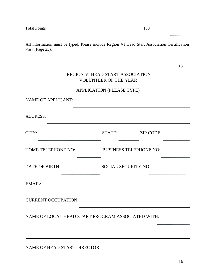All information must be typed. Please include Region VI Head Start Association Certification Form(Page 23).

| ٧ |
|---|
|   |
| Ĉ |
| v |

# REGION VI HEAD START ASSOCIATION VOLUNTEER OF THE YEAR

### APPLICATION (PLEASE TYPE)

| <b>NAME OF APPLICANT:</b>                         |                               |                  |
|---------------------------------------------------|-------------------------------|------------------|
| <b>ADDRESS:</b>                                   |                               |                  |
| CITY:                                             | STATE:                        | <b>ZIP CODE:</b> |
| HOME TELEPHONE NO:                                | <b>BUSINESS TELEPHONE NO:</b> |                  |
| <b>DATE OF BIRTH:</b>                             | <b>SOCIAL SECURITY NO:</b>    |                  |
| EMAIL:                                            |                               |                  |
| <b>CURRENT OCCUPATION:</b>                        |                               |                  |
| NAME OF LOCAL HEAD START PROGRAM ASSOCIATED WITH: |                               |                  |
|                                                   |                               |                  |

NAME OF HEAD START DIRECTOR: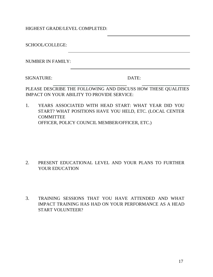HIGHEST GRADE/LEVEL COMPLETED:

SCHOOL/COLLEGE: NUMBER IN FAMILY:

SIGNATURE: DATE:

PLEASE DESCRIBE THE FOLLOWING AND DISCUSS HOW THESE QUALITIES IMPACT ON YOUR ABILITY TO PROVIDE SERVICE:

1. YEARS ASSOCIATED WITH HEAD START: WHAT YEAR DID YOU START? WHAT POSITIONS HAVE YOU HELD, ETC. (LOCAL CENTER COMMITTEE OFFICER, POLICY COUNCIL MEMBER/OFFICER, ETC.)

- 2. PRESENT EDUCATIONAL LEVEL AND YOUR PLANS TO FURTHER YOUR EDUCATION
- 3. TRAINING SESSIONS THAT YOU HAVE ATTENDED AND WHAT IMPACT TRAINING HAS HAD ON YOUR PERFORMANCE AS A HEAD START VOLUNTEER?